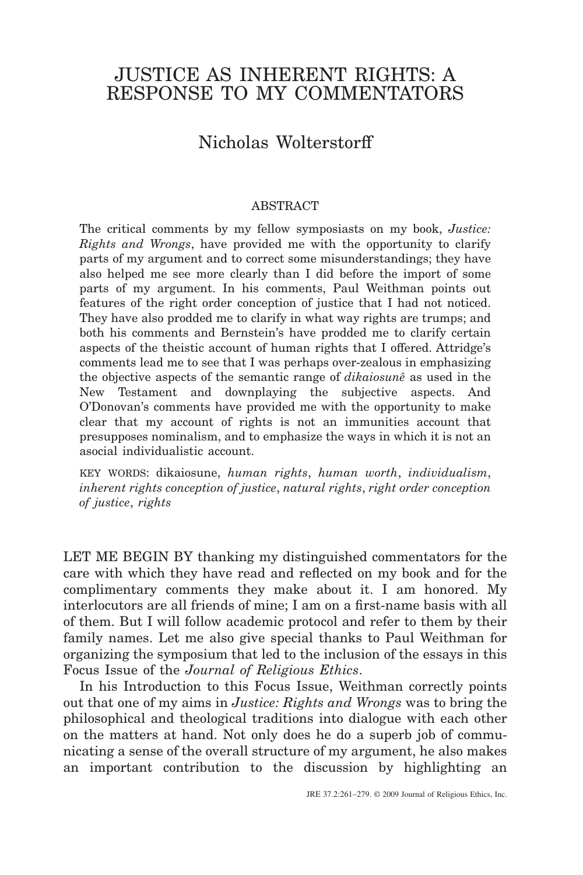## JUSTICE AS INHERENT RIGHTS: A RESPONSE TO MY COMMENTATORS

## Nicholas Wolterstorff

## ABSTRACT

The critical comments by my fellow symposiasts on my book, *Justice: Rights and Wrongs*, have provided me with the opportunity to clarify parts of my argument and to correct some misunderstandings; they have also helped me see more clearly than I did before the import of some parts of my argument. In his comments, Paul Weithman points out features of the right order conception of justice that I had not noticed. They have also prodded me to clarify in what way rights are trumps; and both his comments and Bernstein's have prodded me to clarify certain aspects of the theistic account of human rights that I offered. Attridge's comments lead me to see that I was perhaps over-zealous in emphasizing the objective aspects of the semantic range of *dikaiosunê* as used in the New Testament and downplaying the subjective aspects. And O'Donovan's comments have provided me with the opportunity to make clear that my account of rights is not an immunities account that presupposes nominalism, and to emphasize the ways in which it is not an asocial individualistic account.

KEY WORDS: dikaiosune, *human rights*, *human worth*, *individualism*, *inherent rights conception of justice*, *natural rights*, *right order conception of justice*, *rights*

LET ME BEGIN BY thanking my distinguished commentators for the care with which they have read and reflected on my book and for the complimentary comments they make about it. I am honored. My interlocutors are all friends of mine; I am on a first-name basis with all of them. But I will follow academic protocol and refer to them by their family names. Let me also give special thanks to Paul Weithman for organizing the symposium that led to the inclusion of the essays in this Focus Issue of the *Journal of Religious Ethics*.

In his Introduction to this Focus Issue, Weithman correctly points out that one of my aims in *Justice: Rights and Wrongs* was to bring the philosophical and theological traditions into dialogue with each other on the matters at hand. Not only does he do a superb job of communicating a sense of the overall structure of my argument, he also makes an important contribution to the discussion by highlighting an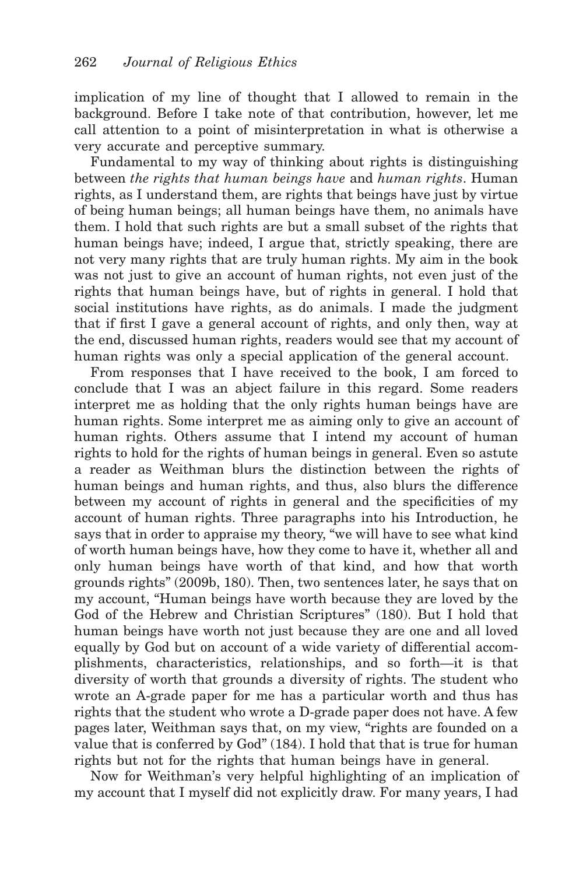implication of my line of thought that I allowed to remain in the background. Before I take note of that contribution, however, let me call attention to a point of misinterpretation in what is otherwise a very accurate and perceptive summary.

Fundamental to my way of thinking about rights is distinguishing between *the rights that human beings have* and *human rights*. Human rights, as I understand them, are rights that beings have just by virtue of being human beings; all human beings have them, no animals have them. I hold that such rights are but a small subset of the rights that human beings have; indeed, I argue that, strictly speaking, there are not very many rights that are truly human rights. My aim in the book was not just to give an account of human rights, not even just of the rights that human beings have, but of rights in general. I hold that social institutions have rights, as do animals. I made the judgment that if first I gave a general account of rights, and only then, way at the end, discussed human rights, readers would see that my account of human rights was only a special application of the general account.

From responses that I have received to the book, I am forced to conclude that I was an abject failure in this regard. Some readers interpret me as holding that the only rights human beings have are human rights. Some interpret me as aiming only to give an account of human rights. Others assume that I intend my account of human rights to hold for the rights of human beings in general. Even so astute a reader as Weithman blurs the distinction between the rights of human beings and human rights, and thus, also blurs the difference between my account of rights in general and the specificities of my account of human rights. Three paragraphs into his Introduction, he says that in order to appraise my theory, "we will have to see what kind of worth human beings have, how they come to have it, whether all and only human beings have worth of that kind, and how that worth grounds rights" (2009b, 180). Then, two sentences later, he says that on my account, "Human beings have worth because they are loved by the God of the Hebrew and Christian Scriptures" (180). But I hold that human beings have worth not just because they are one and all loved equally by God but on account of a wide variety of differential accomplishments, characteristics, relationships, and so forth—it is that diversity of worth that grounds a diversity of rights. The student who wrote an A-grade paper for me has a particular worth and thus has rights that the student who wrote a D-grade paper does not have. A few pages later, Weithman says that, on my view, "rights are founded on a value that is conferred by God" (184). I hold that that is true for human rights but not for the rights that human beings have in general.

Now for Weithman's very helpful highlighting of an implication of my account that I myself did not explicitly draw. For many years, I had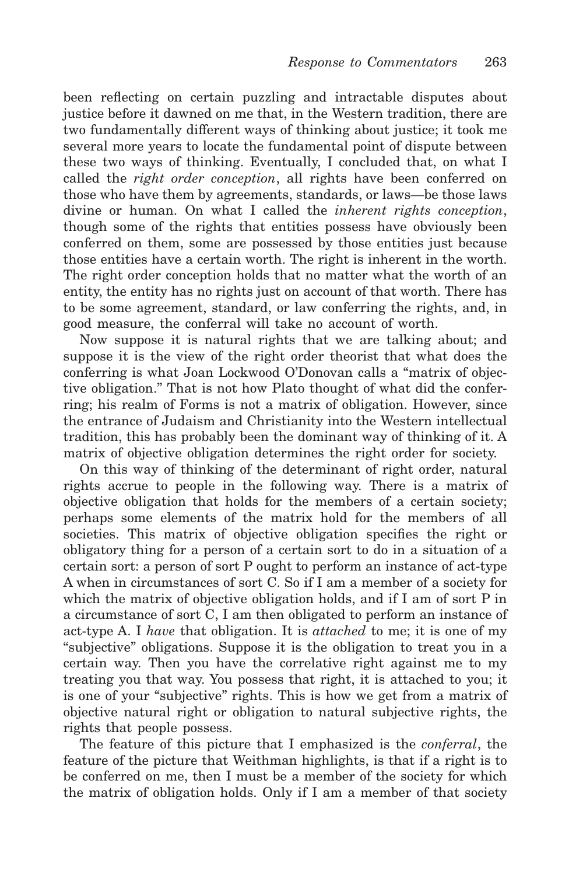been reflecting on certain puzzling and intractable disputes about justice before it dawned on me that, in the Western tradition, there are two fundamentally different ways of thinking about justice; it took me several more years to locate the fundamental point of dispute between these two ways of thinking. Eventually, I concluded that, on what I called the *right order conception*, all rights have been conferred on those who have them by agreements, standards, or laws—be those laws divine or human. On what I called the *inherent rights conception*, though some of the rights that entities possess have obviously been conferred on them, some are possessed by those entities just because those entities have a certain worth. The right is inherent in the worth. The right order conception holds that no matter what the worth of an entity, the entity has no rights just on account of that worth. There has to be some agreement, standard, or law conferring the rights, and, in good measure, the conferral will take no account of worth.

Now suppose it is natural rights that we are talking about; and suppose it is the view of the right order theorist that what does the conferring is what Joan Lockwood O'Donovan calls a "matrix of objective obligation." That is not how Plato thought of what did the conferring; his realm of Forms is not a matrix of obligation. However, since the entrance of Judaism and Christianity into the Western intellectual tradition, this has probably been the dominant way of thinking of it. A matrix of objective obligation determines the right order for society.

On this way of thinking of the determinant of right order, natural rights accrue to people in the following way. There is a matrix of objective obligation that holds for the members of a certain society; perhaps some elements of the matrix hold for the members of all societies. This matrix of objective obligation specifies the right or obligatory thing for a person of a certain sort to do in a situation of a certain sort: a person of sort P ought to perform an instance of act-type A when in circumstances of sort C. So if I am a member of a society for which the matrix of objective obligation holds, and if I am of sort P in a circumstance of sort C, I am then obligated to perform an instance of act-type A. I *have* that obligation. It is *attached* to me; it is one of my "subjective" obligations. Suppose it is the obligation to treat you in a certain way. Then you have the correlative right against me to my treating you that way. You possess that right, it is attached to you; it is one of your "subjective" rights. This is how we get from a matrix of objective natural right or obligation to natural subjective rights, the rights that people possess.

The feature of this picture that I emphasized is the *conferral*, the feature of the picture that Weithman highlights, is that if a right is to be conferred on me, then I must be a member of the society for which the matrix of obligation holds. Only if I am a member of that society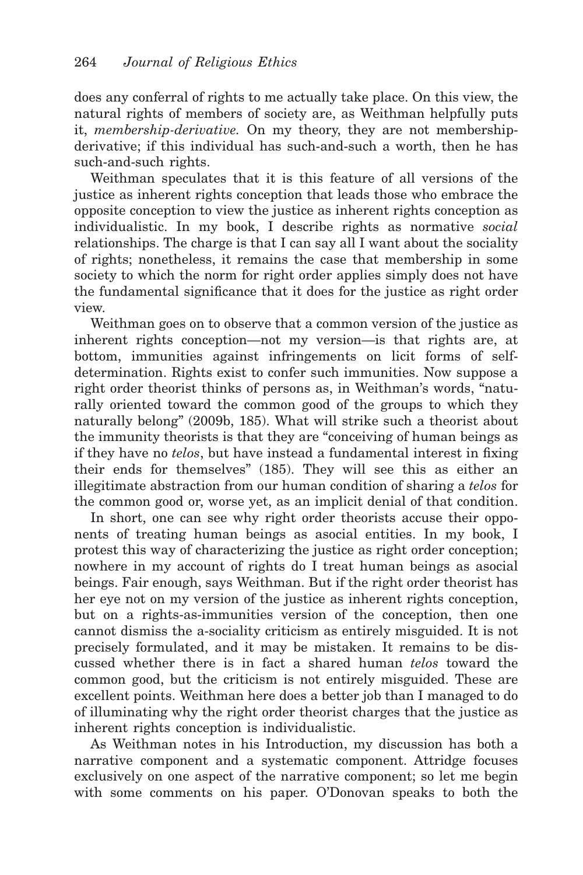does any conferral of rights to me actually take place. On this view, the natural rights of members of society are, as Weithman helpfully puts it, *membership-derivative.* On my theory, they are not membershipderivative; if this individual has such-and-such a worth, then he has such-and-such rights.

Weithman speculates that it is this feature of all versions of the justice as inherent rights conception that leads those who embrace the opposite conception to view the justice as inherent rights conception as individualistic. In my book, I describe rights as normative *social* relationships. The charge is that I can say all I want about the sociality of rights; nonetheless, it remains the case that membership in some society to which the norm for right order applies simply does not have the fundamental significance that it does for the justice as right order view.

Weithman goes on to observe that a common version of the justice as inherent rights conception—not my version—is that rights are, at bottom, immunities against infringements on licit forms of selfdetermination. Rights exist to confer such immunities. Now suppose a right order theorist thinks of persons as, in Weithman's words, "naturally oriented toward the common good of the groups to which they naturally belong" (2009b, 185). What will strike such a theorist about the immunity theorists is that they are "conceiving of human beings as if they have no *telos*, but have instead a fundamental interest in fixing their ends for themselves" (185). They will see this as either an illegitimate abstraction from our human condition of sharing a *telos* for the common good or, worse yet, as an implicit denial of that condition.

In short, one can see why right order theorists accuse their opponents of treating human beings as asocial entities. In my book, I protest this way of characterizing the justice as right order conception; nowhere in my account of rights do I treat human beings as asocial beings. Fair enough, says Weithman. But if the right order theorist has her eye not on my version of the justice as inherent rights conception, but on a rights-as-immunities version of the conception, then one cannot dismiss the a-sociality criticism as entirely misguided. It is not precisely formulated, and it may be mistaken. It remains to be discussed whether there is in fact a shared human *telos* toward the common good, but the criticism is not entirely misguided. These are excellent points. Weithman here does a better job than I managed to do of illuminating why the right order theorist charges that the justice as inherent rights conception is individualistic.

As Weithman notes in his Introduction, my discussion has both a narrative component and a systematic component. Attridge focuses exclusively on one aspect of the narrative component; so let me begin with some comments on his paper. O'Donovan speaks to both the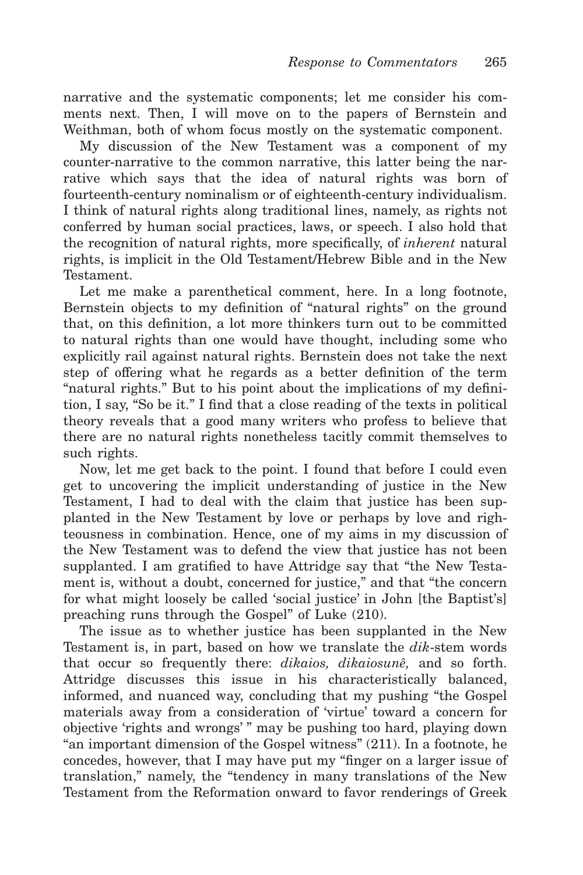narrative and the systematic components; let me consider his comments next. Then, I will move on to the papers of Bernstein and Weithman, both of whom focus mostly on the systematic component.

My discussion of the New Testament was a component of my counter-narrative to the common narrative, this latter being the narrative which says that the idea of natural rights was born of fourteenth-century nominalism or of eighteenth-century individualism. I think of natural rights along traditional lines, namely, as rights not conferred by human social practices, laws, or speech. I also hold that the recognition of natural rights, more specifically, of *inherent* natural rights, is implicit in the Old Testament/Hebrew Bible and in the New Testament.

Let me make a parenthetical comment, here. In a long footnote, Bernstein objects to my definition of "natural rights" on the ground that, on this definition, a lot more thinkers turn out to be committed to natural rights than one would have thought, including some who explicitly rail against natural rights. Bernstein does not take the next step of offering what he regards as a better definition of the term "natural rights." But to his point about the implications of my definition, I say, "So be it." I find that a close reading of the texts in political theory reveals that a good many writers who profess to believe that there are no natural rights nonetheless tacitly commit themselves to such rights.

Now, let me get back to the point. I found that before I could even get to uncovering the implicit understanding of justice in the New Testament, I had to deal with the claim that justice has been supplanted in the New Testament by love or perhaps by love and righteousness in combination. Hence, one of my aims in my discussion of the New Testament was to defend the view that justice has not been supplanted. I am gratified to have Attridge say that "the New Testament is, without a doubt, concerned for justice," and that "the concern for what might loosely be called 'social justice' in John [the Baptist's] preaching runs through the Gospel" of Luke (210).

The issue as to whether justice has been supplanted in the New Testament is, in part, based on how we translate the *dik*-stem words that occur so frequently there: *dikaios, dikaiosunê,* and so forth. Attridge discusses this issue in his characteristically balanced, informed, and nuanced way, concluding that my pushing "the Gospel materials away from a consideration of 'virtue' toward a concern for objective 'rights and wrongs' " may be pushing too hard, playing down "an important dimension of the Gospel witness" (211). In a footnote, he concedes, however, that I may have put my "finger on a larger issue of translation," namely, the "tendency in many translations of the New Testament from the Reformation onward to favor renderings of Greek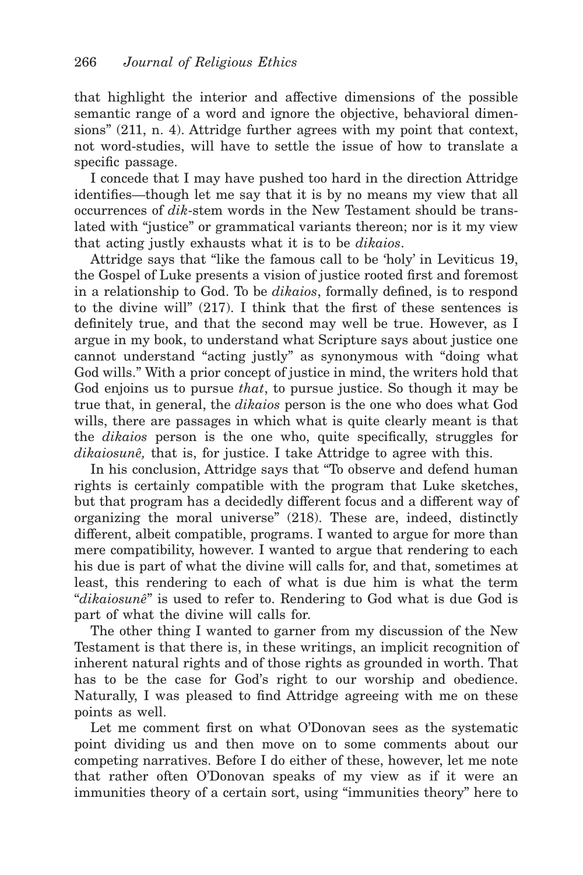that highlight the interior and affective dimensions of the possible semantic range of a word and ignore the objective, behavioral dimensions" (211, n. 4). Attridge further agrees with my point that context, not word-studies, will have to settle the issue of how to translate a specific passage.

I concede that I may have pushed too hard in the direction Attridge identifies—though let me say that it is by no means my view that all occurrences of *dik*-stem words in the New Testament should be translated with "justice" or grammatical variants thereon; nor is it my view that acting justly exhausts what it is to be *dikaios*.

Attridge says that "like the famous call to be 'holy' in Leviticus 19, the Gospel of Luke presents a vision of justice rooted first and foremost in a relationship to God. To be *dikaios*, formally defined, is to respond to the divine will" (217). I think that the first of these sentences is definitely true, and that the second may well be true. However, as I argue in my book, to understand what Scripture says about justice one cannot understand "acting justly" as synonymous with "doing what God wills." With a prior concept of justice in mind, the writers hold that God enjoins us to pursue *that*, to pursue justice. So though it may be true that, in general, the *dikaios* person is the one who does what God wills, there are passages in which what is quite clearly meant is that the *dikaios* person is the one who, quite specifically, struggles for *dikaiosunê,* that is, for justice. I take Attridge to agree with this.

In his conclusion, Attridge says that "To observe and defend human rights is certainly compatible with the program that Luke sketches, but that program has a decidedly different focus and a different way of organizing the moral universe" (218). These are, indeed, distinctly different, albeit compatible, programs. I wanted to argue for more than mere compatibility, however. I wanted to argue that rendering to each his due is part of what the divine will calls for, and that, sometimes at least, this rendering to each of what is due him is what the term "*dikaiosunê*" is used to refer to. Rendering to God what is due God is part of what the divine will calls for.

The other thing I wanted to garner from my discussion of the New Testament is that there is, in these writings, an implicit recognition of inherent natural rights and of those rights as grounded in worth. That has to be the case for God's right to our worship and obedience. Naturally, I was pleased to find Attridge agreeing with me on these points as well.

Let me comment first on what O'Donovan sees as the systematic point dividing us and then move on to some comments about our competing narratives. Before I do either of these, however, let me note that rather often O'Donovan speaks of my view as if it were an immunities theory of a certain sort, using "immunities theory" here to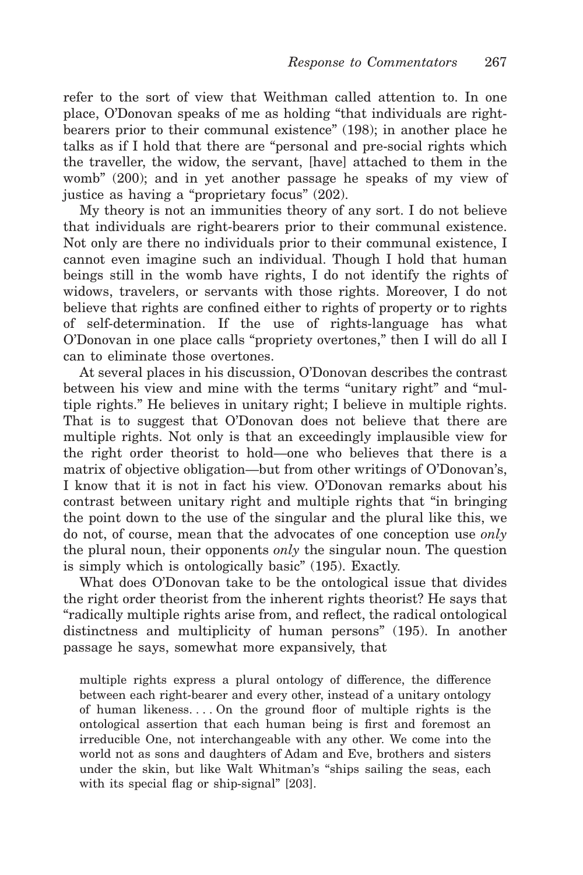refer to the sort of view that Weithman called attention to. In one place, O'Donovan speaks of me as holding "that individuals are rightbearers prior to their communal existence" (198); in another place he talks as if I hold that there are "personal and pre-social rights which the traveller, the widow, the servant, [have] attached to them in the womb" (200); and in yet another passage he speaks of my view of justice as having a "proprietary focus" (202).

My theory is not an immunities theory of any sort. I do not believe that individuals are right-bearers prior to their communal existence. Not only are there no individuals prior to their communal existence, I cannot even imagine such an individual. Though I hold that human beings still in the womb have rights, I do not identify the rights of widows, travelers, or servants with those rights. Moreover, I do not believe that rights are confined either to rights of property or to rights of self-determination. If the use of rights-language has what O'Donovan in one place calls "propriety overtones," then I will do all I can to eliminate those overtones.

At several places in his discussion, O'Donovan describes the contrast between his view and mine with the terms "unitary right" and "multiple rights." He believes in unitary right; I believe in multiple rights. That is to suggest that O'Donovan does not believe that there are multiple rights. Not only is that an exceedingly implausible view for the right order theorist to hold—one who believes that there is a matrix of objective obligation—but from other writings of O'Donovan's, I know that it is not in fact his view. O'Donovan remarks about his contrast between unitary right and multiple rights that "in bringing the point down to the use of the singular and the plural like this, we do not, of course, mean that the advocates of one conception use *only* the plural noun, their opponents *only* the singular noun. The question is simply which is ontologically basic" (195). Exactly.

What does O'Donovan take to be the ontological issue that divides the right order theorist from the inherent rights theorist? He says that "radically multiple rights arise from, and reflect, the radical ontological distinctness and multiplicity of human persons" (195). In another passage he says, somewhat more expansively, that

multiple rights express a plural ontology of difference, the difference between each right-bearer and every other, instead of a unitary ontology of human likeness. . . . On the ground floor of multiple rights is the ontological assertion that each human being is first and foremost an irreducible One, not interchangeable with any other. We come into the world not as sons and daughters of Adam and Eve, brothers and sisters under the skin, but like Walt Whitman's "ships sailing the seas, each with its special flag or ship-signal" [203].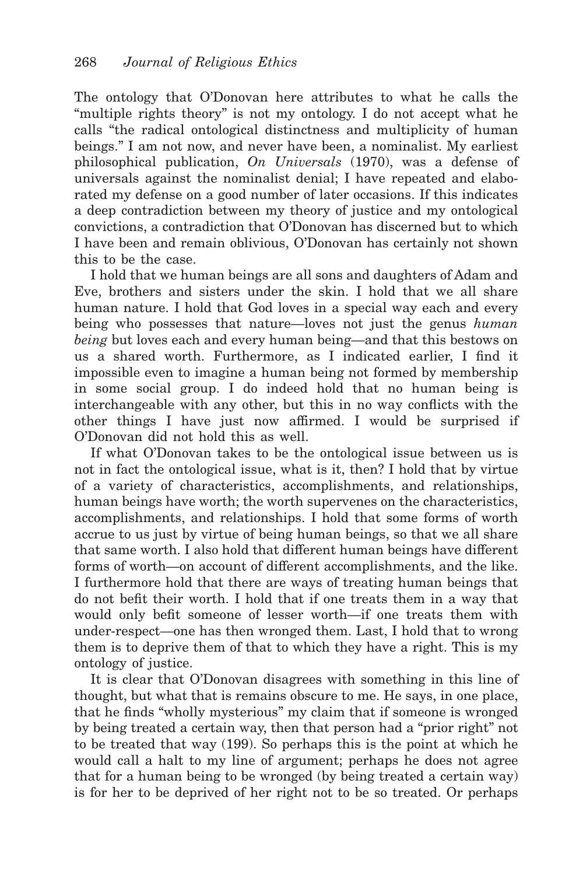The ontology that O'Donovan here attributes to what he calls the "multiple rights theory" is not my ontology. I do not accept what he calls "the radical ontological distinctness and multiplicity of human beings." I am not now, and never have been, a nominalist. My earliest philosophical publication, *On Universals* (1970), was a defense of universals against the nominalist denial; I have repeated and elaborated my defense on a good number of later occasions. If this indicates a deep contradiction between my theory of justice and my ontological convictions, a contradiction that O'Donovan has discerned but to which I have been and remain oblivious, O'Donovan has certainly not shown this to be the case.

I hold that we human beings are all sons and daughters of Adam and Eve, brothers and sisters under the skin. I hold that we all share human nature. I hold that God loves in a special way each and every being who possesses that nature—loves not just the genus *human being* but loves each and every human being—and that this bestows on us a shared worth. Furthermore, as I indicated earlier, I find it impossible even to imagine a human being not formed by membership in some social group. I do indeed hold that no human being is interchangeable with any other, but this in no way conflicts with the other things I have just now affirmed. I would be surprised if O'Donovan did not hold this as well.

If what O'Donovan takes to be the ontological issue between us is not in fact the ontological issue, what is it, then? I hold that by virtue of a variety of characteristics, accomplishments, and relationships, human beings have worth; the worth supervenes on the characteristics, accomplishments, and relationships. I hold that some forms of worth accrue to us just by virtue of being human beings, so that we all share that same worth. I also hold that different human beings have different forms of worth—on account of different accomplishments, and the like. I furthermore hold that there are ways of treating human beings that do not befit their worth. I hold that if one treats them in a way that would only befit someone of lesser worth—if one treats them with under-respect—one has then wronged them. Last, I hold that to wrong them is to deprive them of that to which they have a right. This is my ontology of justice.

It is clear that O'Donovan disagrees with something in this line of thought, but what that is remains obscure to me. He says, in one place, that he finds "wholly mysterious" my claim that if someone is wronged by being treated a certain way, then that person had a "prior right" not to be treated that way (199). So perhaps this is the point at which he would call a halt to my line of argument; perhaps he does not agree that for a human being to be wronged (by being treated a certain way) is for her to be deprived of her right not to be so treated. Or perhaps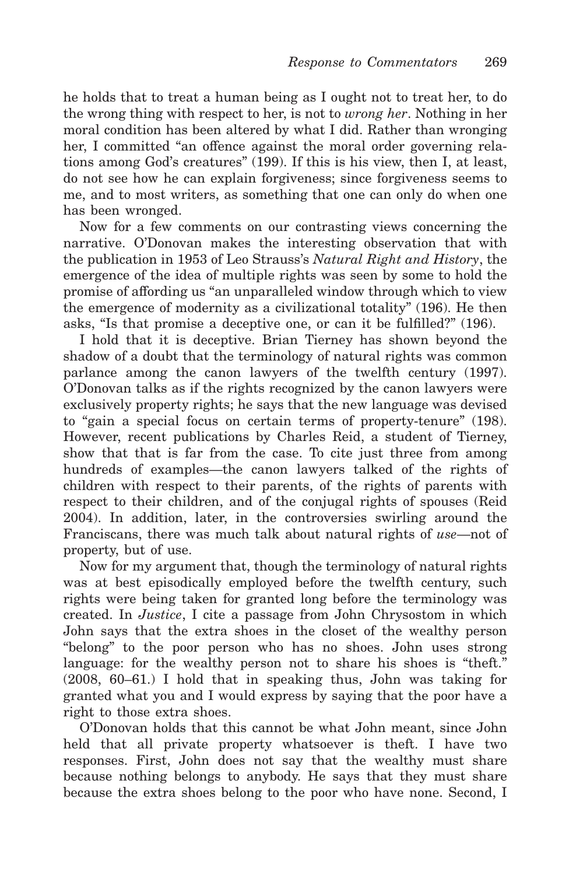he holds that to treat a human being as I ought not to treat her, to do the wrong thing with respect to her, is not to *wrong her*. Nothing in her moral condition has been altered by what I did. Rather than wronging her, I committed "an offence against the moral order governing relations among God's creatures" (199). If this is his view, then I, at least, do not see how he can explain forgiveness; since forgiveness seems to me, and to most writers, as something that one can only do when one has been wronged.

Now for a few comments on our contrasting views concerning the narrative. O'Donovan makes the interesting observation that with the publication in 1953 of Leo Strauss's *Natural Right and History*, the emergence of the idea of multiple rights was seen by some to hold the promise of affording us "an unparalleled window through which to view the emergence of modernity as a civilizational totality" (196). He then asks, "Is that promise a deceptive one, or can it be fulfilled?" (196).

I hold that it is deceptive. Brian Tierney has shown beyond the shadow of a doubt that the terminology of natural rights was common parlance among the canon lawyers of the twelfth century (1997). O'Donovan talks as if the rights recognized by the canon lawyers were exclusively property rights; he says that the new language was devised to "gain a special focus on certain terms of property-tenure" (198). However, recent publications by Charles Reid, a student of Tierney, show that that is far from the case. To cite just three from among hundreds of examples—the canon lawyers talked of the rights of children with respect to their parents, of the rights of parents with respect to their children, and of the conjugal rights of spouses (Reid 2004). In addition, later, in the controversies swirling around the Franciscans, there was much talk about natural rights of *use*—not of property, but of use.

Now for my argument that, though the terminology of natural rights was at best episodically employed before the twelfth century, such rights were being taken for granted long before the terminology was created. In *Justice*, I cite a passage from John Chrysostom in which John says that the extra shoes in the closet of the wealthy person "belong" to the poor person who has no shoes. John uses strong language: for the wealthy person not to share his shoes is "theft." (2008, 60–61.) I hold that in speaking thus, John was taking for granted what you and I would express by saying that the poor have a right to those extra shoes.

O'Donovan holds that this cannot be what John meant, since John held that all private property whatsoever is theft. I have two responses. First, John does not say that the wealthy must share because nothing belongs to anybody. He says that they must share because the extra shoes belong to the poor who have none. Second, I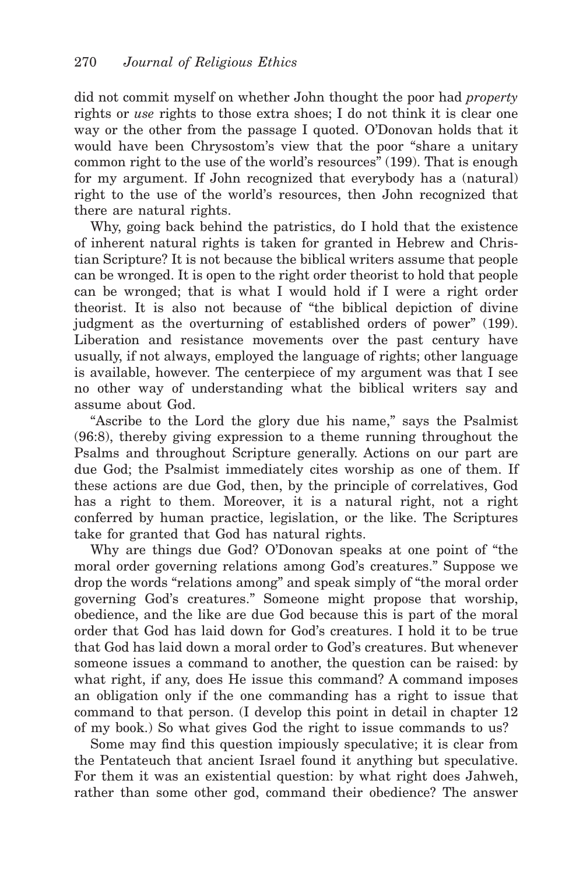did not commit myself on whether John thought the poor had *property* rights or *use* rights to those extra shoes; I do not think it is clear one way or the other from the passage I quoted. O'Donovan holds that it would have been Chrysostom's view that the poor "share a unitary common right to the use of the world's resources" (199). That is enough for my argument. If John recognized that everybody has a (natural) right to the use of the world's resources, then John recognized that there are natural rights.

Why, going back behind the patristics, do I hold that the existence of inherent natural rights is taken for granted in Hebrew and Christian Scripture? It is not because the biblical writers assume that people can be wronged. It is open to the right order theorist to hold that people can be wronged; that is what I would hold if I were a right order theorist. It is also not because of "the biblical depiction of divine judgment as the overturning of established orders of power" (199). Liberation and resistance movements over the past century have usually, if not always, employed the language of rights; other language is available, however. The centerpiece of my argument was that I see no other way of understanding what the biblical writers say and assume about God.

"Ascribe to the Lord the glory due his name," says the Psalmist (96:8), thereby giving expression to a theme running throughout the Psalms and throughout Scripture generally. Actions on our part are due God; the Psalmist immediately cites worship as one of them. If these actions are due God, then, by the principle of correlatives, God has a right to them. Moreover, it is a natural right, not a right conferred by human practice, legislation, or the like. The Scriptures take for granted that God has natural rights.

Why are things due God? O'Donovan speaks at one point of "the moral order governing relations among God's creatures." Suppose we drop the words "relations among" and speak simply of "the moral order governing God's creatures." Someone might propose that worship, obedience, and the like are due God because this is part of the moral order that God has laid down for God's creatures. I hold it to be true that God has laid down a moral order to God's creatures. But whenever someone issues a command to another, the question can be raised: by what right, if any, does He issue this command? A command imposes an obligation only if the one commanding has a right to issue that command to that person. (I develop this point in detail in chapter 12 of my book.) So what gives God the right to issue commands to us?

Some may find this question impiously speculative; it is clear from the Pentateuch that ancient Israel found it anything but speculative. For them it was an existential question: by what right does Jahweh, rather than some other god, command their obedience? The answer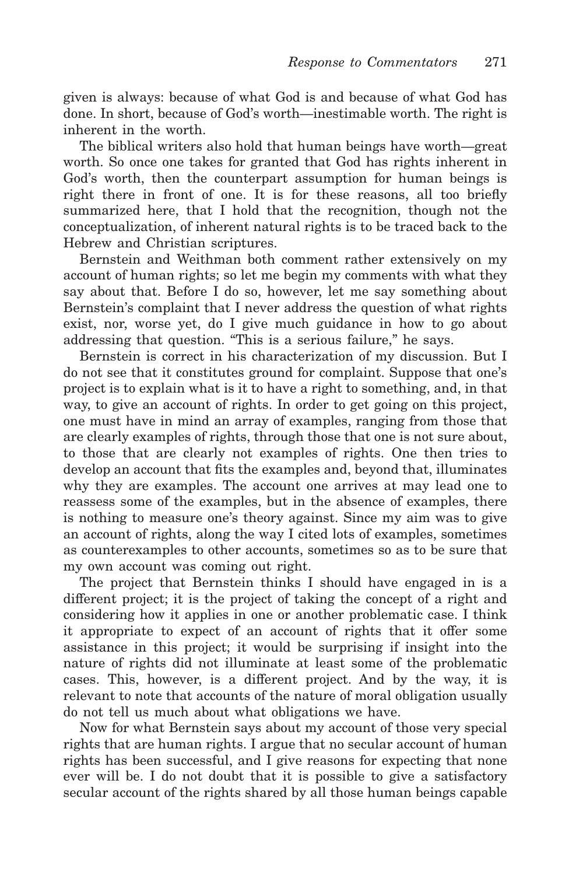given is always: because of what God is and because of what God has done. In short, because of God's worth—inestimable worth. The right is inherent in the worth.

The biblical writers also hold that human beings have worth—great worth. So once one takes for granted that God has rights inherent in God's worth, then the counterpart assumption for human beings is right there in front of one. It is for these reasons, all too briefly summarized here, that I hold that the recognition, though not the conceptualization, of inherent natural rights is to be traced back to the Hebrew and Christian scriptures.

Bernstein and Weithman both comment rather extensively on my account of human rights; so let me begin my comments with what they say about that. Before I do so, however, let me say something about Bernstein's complaint that I never address the question of what rights exist, nor, worse yet, do I give much guidance in how to go about addressing that question. "This is a serious failure," he says.

Bernstein is correct in his characterization of my discussion. But I do not see that it constitutes ground for complaint. Suppose that one's project is to explain what is it to have a right to something, and, in that way, to give an account of rights. In order to get going on this project, one must have in mind an array of examples, ranging from those that are clearly examples of rights, through those that one is not sure about, to those that are clearly not examples of rights. One then tries to develop an account that fits the examples and, beyond that, illuminates why they are examples. The account one arrives at may lead one to reassess some of the examples, but in the absence of examples, there is nothing to measure one's theory against. Since my aim was to give an account of rights, along the way I cited lots of examples, sometimes as counterexamples to other accounts, sometimes so as to be sure that my own account was coming out right.

The project that Bernstein thinks I should have engaged in is a different project; it is the project of taking the concept of a right and considering how it applies in one or another problematic case. I think it appropriate to expect of an account of rights that it offer some assistance in this project; it would be surprising if insight into the nature of rights did not illuminate at least some of the problematic cases. This, however, is a different project. And by the way, it is relevant to note that accounts of the nature of moral obligation usually do not tell us much about what obligations we have.

Now for what Bernstein says about my account of those very special rights that are human rights. I argue that no secular account of human rights has been successful, and I give reasons for expecting that none ever will be. I do not doubt that it is possible to give a satisfactory secular account of the rights shared by all those human beings capable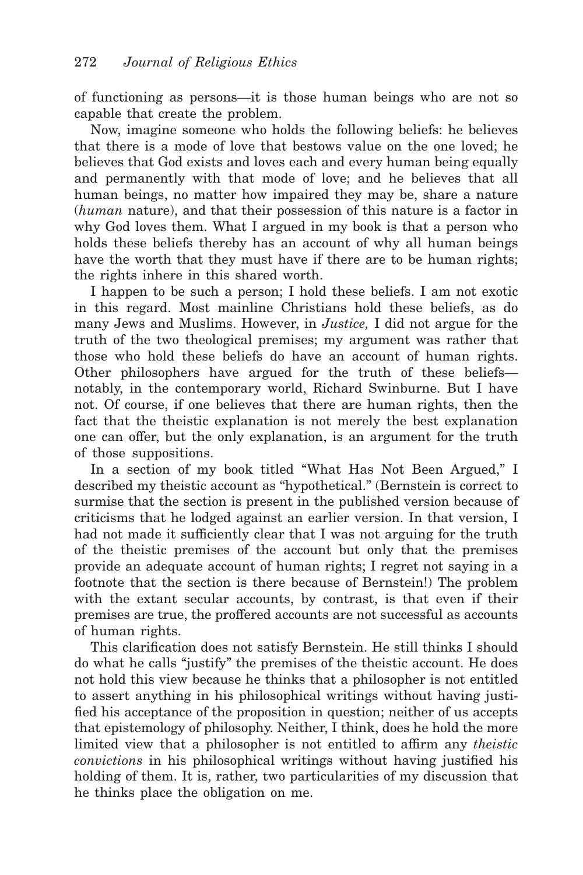of functioning as persons—it is those human beings who are not so capable that create the problem.

Now, imagine someone who holds the following beliefs: he believes that there is a mode of love that bestows value on the one loved; he believes that God exists and loves each and every human being equally and permanently with that mode of love; and he believes that all human beings, no matter how impaired they may be, share a nature (*human* nature), and that their possession of this nature is a factor in why God loves them. What I argued in my book is that a person who holds these beliefs thereby has an account of why all human beings have the worth that they must have if there are to be human rights; the rights inhere in this shared worth.

I happen to be such a person; I hold these beliefs. I am not exotic in this regard. Most mainline Christians hold these beliefs, as do many Jews and Muslims. However, in *Justice,* I did not argue for the truth of the two theological premises; my argument was rather that those who hold these beliefs do have an account of human rights. Other philosophers have argued for the truth of these beliefs notably, in the contemporary world, Richard Swinburne. But I have not. Of course, if one believes that there are human rights, then the fact that the theistic explanation is not merely the best explanation one can offer, but the only explanation, is an argument for the truth of those suppositions.

In a section of my book titled "What Has Not Been Argued," I described my theistic account as "hypothetical." (Bernstein is correct to surmise that the section is present in the published version because of criticisms that he lodged against an earlier version. In that version, I had not made it sufficiently clear that I was not arguing for the truth of the theistic premises of the account but only that the premises provide an adequate account of human rights; I regret not saying in a footnote that the section is there because of Bernstein!) The problem with the extant secular accounts, by contrast, is that even if their premises are true, the proffered accounts are not successful as accounts of human rights.

This clarification does not satisfy Bernstein. He still thinks I should do what he calls "justify" the premises of the theistic account. He does not hold this view because he thinks that a philosopher is not entitled to assert anything in his philosophical writings without having justified his acceptance of the proposition in question; neither of us accepts that epistemology of philosophy. Neither, I think, does he hold the more limited view that a philosopher is not entitled to affirm any *theistic convictions* in his philosophical writings without having justified his holding of them. It is, rather, two particularities of my discussion that he thinks place the obligation on me.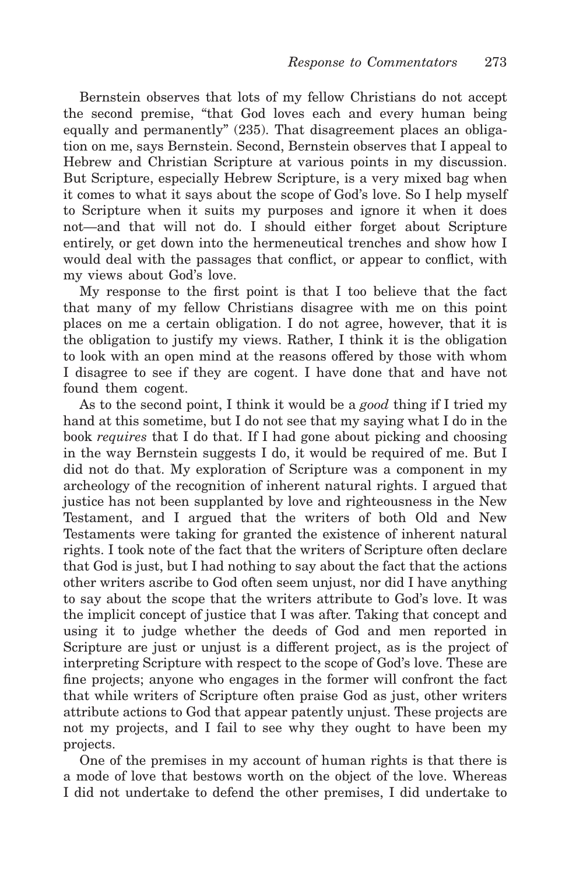Bernstein observes that lots of my fellow Christians do not accept the second premise, "that God loves each and every human being equally and permanently" (235). That disagreement places an obligation on me, says Bernstein. Second, Bernstein observes that I appeal to Hebrew and Christian Scripture at various points in my discussion. But Scripture, especially Hebrew Scripture, is a very mixed bag when it comes to what it says about the scope of God's love. So I help myself to Scripture when it suits my purposes and ignore it when it does not—and that will not do. I should either forget about Scripture entirely, or get down into the hermeneutical trenches and show how I would deal with the passages that conflict, or appear to conflict, with my views about God's love.

My response to the first point is that I too believe that the fact that many of my fellow Christians disagree with me on this point places on me a certain obligation. I do not agree, however, that it is the obligation to justify my views. Rather, I think it is the obligation to look with an open mind at the reasons offered by those with whom I disagree to see if they are cogent. I have done that and have not found them cogent.

As to the second point, I think it would be a *good* thing if I tried my hand at this sometime, but I do not see that my saying what I do in the book *requires* that I do that. If I had gone about picking and choosing in the way Bernstein suggests I do, it would be required of me. But I did not do that. My exploration of Scripture was a component in my archeology of the recognition of inherent natural rights. I argued that justice has not been supplanted by love and righteousness in the New Testament, and I argued that the writers of both Old and New Testaments were taking for granted the existence of inherent natural rights. I took note of the fact that the writers of Scripture often declare that God is just, but I had nothing to say about the fact that the actions other writers ascribe to God often seem unjust, nor did I have anything to say about the scope that the writers attribute to God's love. It was the implicit concept of justice that I was after. Taking that concept and using it to judge whether the deeds of God and men reported in Scripture are just or unjust is a different project, as is the project of interpreting Scripture with respect to the scope of God's love. These are fine projects; anyone who engages in the former will confront the fact that while writers of Scripture often praise God as just, other writers attribute actions to God that appear patently unjust. These projects are not my projects, and I fail to see why they ought to have been my projects.

One of the premises in my account of human rights is that there is a mode of love that bestows worth on the object of the love. Whereas I did not undertake to defend the other premises, I did undertake to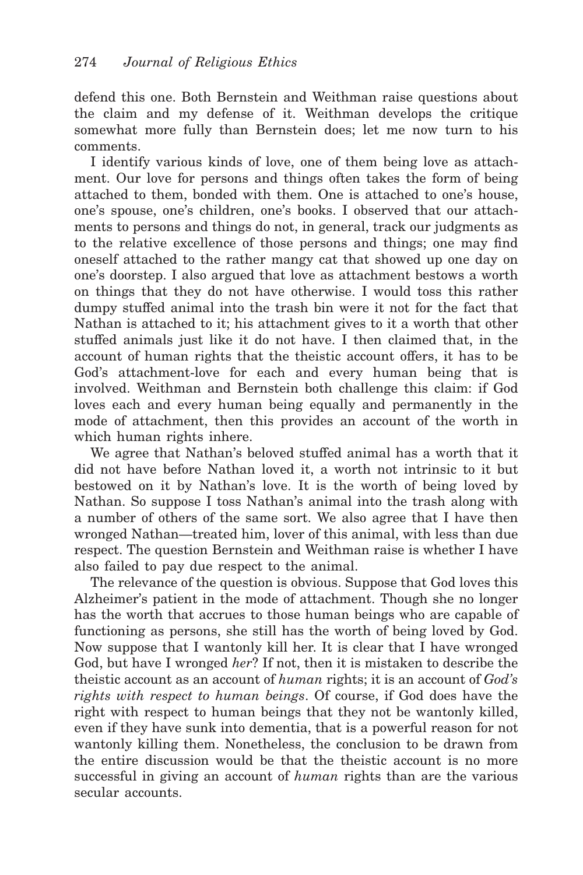defend this one. Both Bernstein and Weithman raise questions about the claim and my defense of it. Weithman develops the critique somewhat more fully than Bernstein does; let me now turn to his comments.

I identify various kinds of love, one of them being love as attachment. Our love for persons and things often takes the form of being attached to them, bonded with them. One is attached to one's house, one's spouse, one's children, one's books. I observed that our attachments to persons and things do not, in general, track our judgments as to the relative excellence of those persons and things; one may find oneself attached to the rather mangy cat that showed up one day on one's doorstep. I also argued that love as attachment bestows a worth on things that they do not have otherwise. I would toss this rather dumpy stuffed animal into the trash bin were it not for the fact that Nathan is attached to it; his attachment gives to it a worth that other stuffed animals just like it do not have. I then claimed that, in the account of human rights that the theistic account offers, it has to be God's attachment-love for each and every human being that is involved. Weithman and Bernstein both challenge this claim: if God loves each and every human being equally and permanently in the mode of attachment, then this provides an account of the worth in which human rights inhere.

We agree that Nathan's beloved stuffed animal has a worth that it did not have before Nathan loved it, a worth not intrinsic to it but bestowed on it by Nathan's love. It is the worth of being loved by Nathan. So suppose I toss Nathan's animal into the trash along with a number of others of the same sort. We also agree that I have then wronged Nathan—treated him, lover of this animal, with less than due respect. The question Bernstein and Weithman raise is whether I have also failed to pay due respect to the animal.

The relevance of the question is obvious. Suppose that God loves this Alzheimer's patient in the mode of attachment. Though she no longer has the worth that accrues to those human beings who are capable of functioning as persons, she still has the worth of being loved by God. Now suppose that I wantonly kill her. It is clear that I have wronged God, but have I wronged *her*? If not, then it is mistaken to describe the theistic account as an account of *human* rights; it is an account of *God's rights with respect to human beings*. Of course, if God does have the right with respect to human beings that they not be wantonly killed, even if they have sunk into dementia, that is a powerful reason for not wantonly killing them. Nonetheless, the conclusion to be drawn from the entire discussion would be that the theistic account is no more successful in giving an account of *human* rights than are the various secular accounts.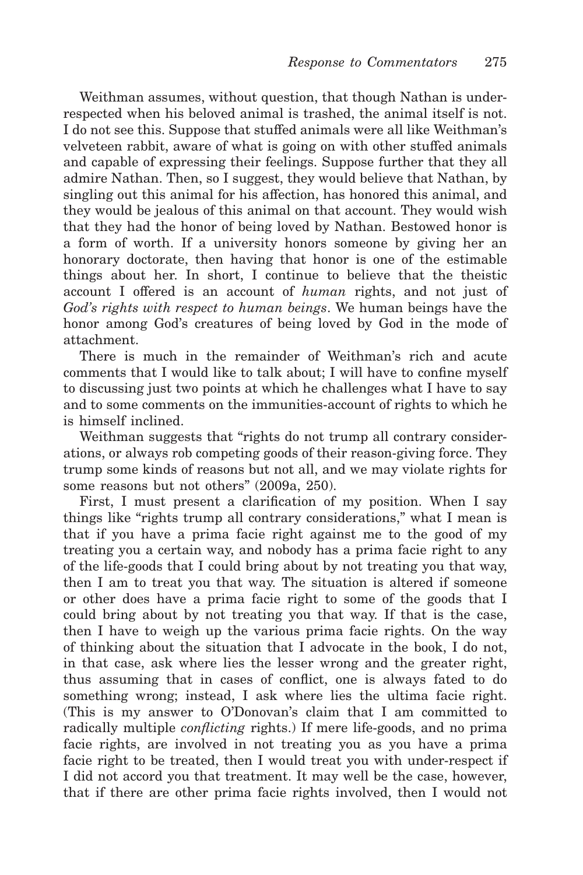Weithman assumes, without question, that though Nathan is underrespected when his beloved animal is trashed, the animal itself is not. I do not see this. Suppose that stuffed animals were all like Weithman's velveteen rabbit, aware of what is going on with other stuffed animals and capable of expressing their feelings. Suppose further that they all admire Nathan. Then, so I suggest, they would believe that Nathan, by singling out this animal for his affection, has honored this animal, and they would be jealous of this animal on that account. They would wish that they had the honor of being loved by Nathan. Bestowed honor is a form of worth. If a university honors someone by giving her an honorary doctorate, then having that honor is one of the estimable things about her. In short, I continue to believe that the theistic account I offered is an account of *human* rights, and not just of *God's rights with respect to human beings*. We human beings have the honor among God's creatures of being loved by God in the mode of attachment.

There is much in the remainder of Weithman's rich and acute comments that I would like to talk about; I will have to confine myself to discussing just two points at which he challenges what I have to say and to some comments on the immunities-account of rights to which he is himself inclined.

Weithman suggests that "rights do not trump all contrary considerations, or always rob competing goods of their reason-giving force. They trump some kinds of reasons but not all, and we may violate rights for some reasons but not others" (2009a, 250).

First, I must present a clarification of my position. When I say things like "rights trump all contrary considerations," what I mean is that if you have a prima facie right against me to the good of my treating you a certain way, and nobody has a prima facie right to any of the life-goods that I could bring about by not treating you that way, then I am to treat you that way. The situation is altered if someone or other does have a prima facie right to some of the goods that I could bring about by not treating you that way. If that is the case, then I have to weigh up the various prima facie rights. On the way of thinking about the situation that I advocate in the book, I do not, in that case, ask where lies the lesser wrong and the greater right, thus assuming that in cases of conflict, one is always fated to do something wrong; instead, I ask where lies the ultima facie right. (This is my answer to O'Donovan's claim that I am committed to radically multiple *conflicting* rights.) If mere life-goods, and no prima facie rights, are involved in not treating you as you have a prima facie right to be treated, then I would treat you with under-respect if I did not accord you that treatment. It may well be the case, however, that if there are other prima facie rights involved, then I would not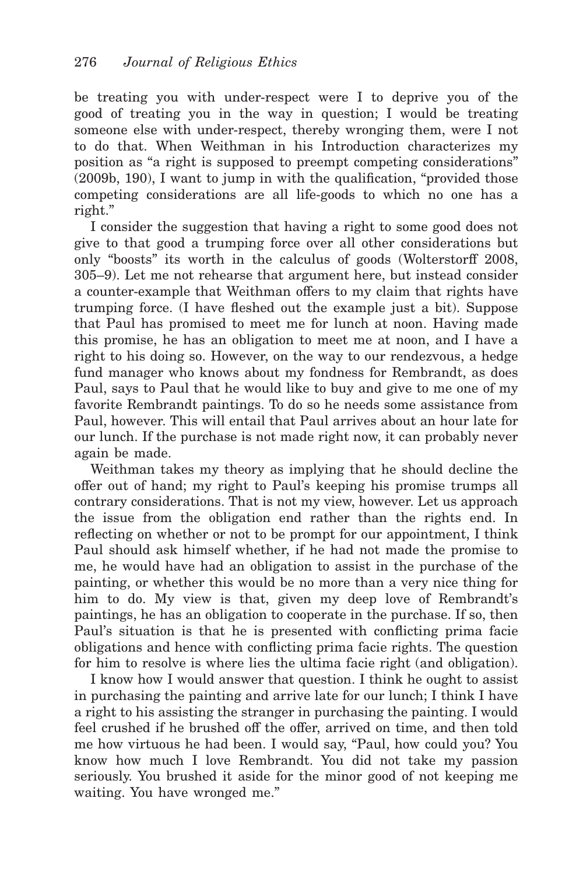be treating you with under-respect were I to deprive you of the good of treating you in the way in question; I would be treating someone else with under-respect, thereby wronging them, were I not to do that. When Weithman in his Introduction characterizes my position as "a right is supposed to preempt competing considerations" (2009b, 190), I want to jump in with the qualification, "provided those competing considerations are all life-goods to which no one has a right."

I consider the suggestion that having a right to some good does not give to that good a trumping force over all other considerations but only "boosts" its worth in the calculus of goods (Wolterstorff 2008, 305–9). Let me not rehearse that argument here, but instead consider a counter-example that Weithman offers to my claim that rights have trumping force. (I have fleshed out the example just a bit). Suppose that Paul has promised to meet me for lunch at noon. Having made this promise, he has an obligation to meet me at noon, and I have a right to his doing so. However, on the way to our rendezvous, a hedge fund manager who knows about my fondness for Rembrandt, as does Paul, says to Paul that he would like to buy and give to me one of my favorite Rembrandt paintings. To do so he needs some assistance from Paul, however. This will entail that Paul arrives about an hour late for our lunch. If the purchase is not made right now, it can probably never again be made.

Weithman takes my theory as implying that he should decline the offer out of hand; my right to Paul's keeping his promise trumps all contrary considerations. That is not my view, however. Let us approach the issue from the obligation end rather than the rights end. In reflecting on whether or not to be prompt for our appointment, I think Paul should ask himself whether, if he had not made the promise to me, he would have had an obligation to assist in the purchase of the painting, or whether this would be no more than a very nice thing for him to do. My view is that, given my deep love of Rembrandt's paintings, he has an obligation to cooperate in the purchase. If so, then Paul's situation is that he is presented with conflicting prima facie obligations and hence with conflicting prima facie rights. The question for him to resolve is where lies the ultima facie right (and obligation).

I know how I would answer that question. I think he ought to assist in purchasing the painting and arrive late for our lunch; I think I have a right to his assisting the stranger in purchasing the painting. I would feel crushed if he brushed off the offer, arrived on time, and then told me how virtuous he had been. I would say, "Paul, how could you? You know how much I love Rembrandt. You did not take my passion seriously. You brushed it aside for the minor good of not keeping me waiting. You have wronged me."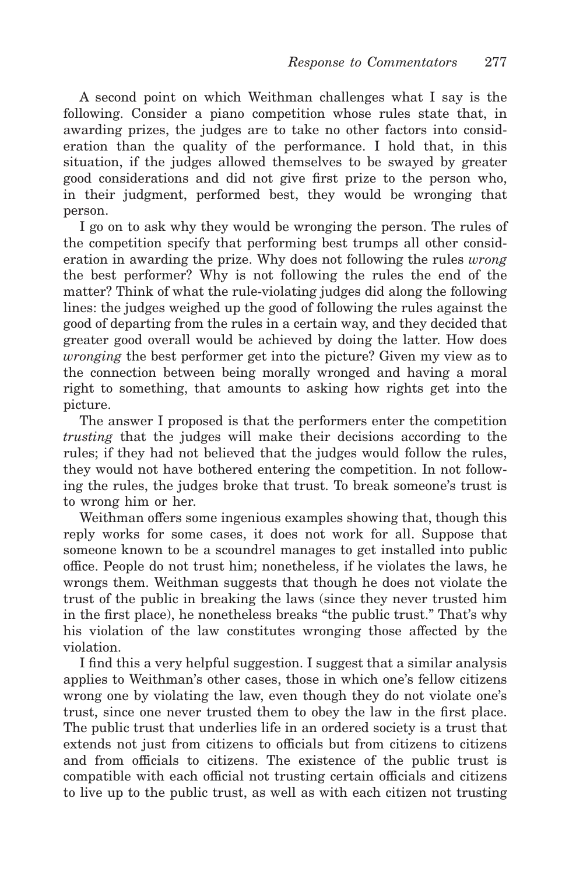A second point on which Weithman challenges what I say is the following. Consider a piano competition whose rules state that, in awarding prizes, the judges are to take no other factors into consideration than the quality of the performance. I hold that, in this situation, if the judges allowed themselves to be swayed by greater good considerations and did not give first prize to the person who, in their judgment, performed best, they would be wronging that person.

I go on to ask why they would be wronging the person. The rules of the competition specify that performing best trumps all other consideration in awarding the prize. Why does not following the rules *wrong* the best performer? Why is not following the rules the end of the matter? Think of what the rule-violating judges did along the following lines: the judges weighed up the good of following the rules against the good of departing from the rules in a certain way, and they decided that greater good overall would be achieved by doing the latter. How does *wronging* the best performer get into the picture? Given my view as to the connection between being morally wronged and having a moral right to something, that amounts to asking how rights get into the picture.

The answer I proposed is that the performers enter the competition *trusting* that the judges will make their decisions according to the rules; if they had not believed that the judges would follow the rules, they would not have bothered entering the competition. In not following the rules, the judges broke that trust. To break someone's trust is to wrong him or her.

Weithman offers some ingenious examples showing that, though this reply works for some cases, it does not work for all. Suppose that someone known to be a scoundrel manages to get installed into public office. People do not trust him; nonetheless, if he violates the laws, he wrongs them. Weithman suggests that though he does not violate the trust of the public in breaking the laws (since they never trusted him in the first place), he nonetheless breaks "the public trust." That's why his violation of the law constitutes wronging those affected by the violation.

I find this a very helpful suggestion. I suggest that a similar analysis applies to Weithman's other cases, those in which one's fellow citizens wrong one by violating the law, even though they do not violate one's trust, since one never trusted them to obey the law in the first place. The public trust that underlies life in an ordered society is a trust that extends not just from citizens to officials but from citizens to citizens and from officials to citizens. The existence of the public trust is compatible with each official not trusting certain officials and citizens to live up to the public trust, as well as with each citizen not trusting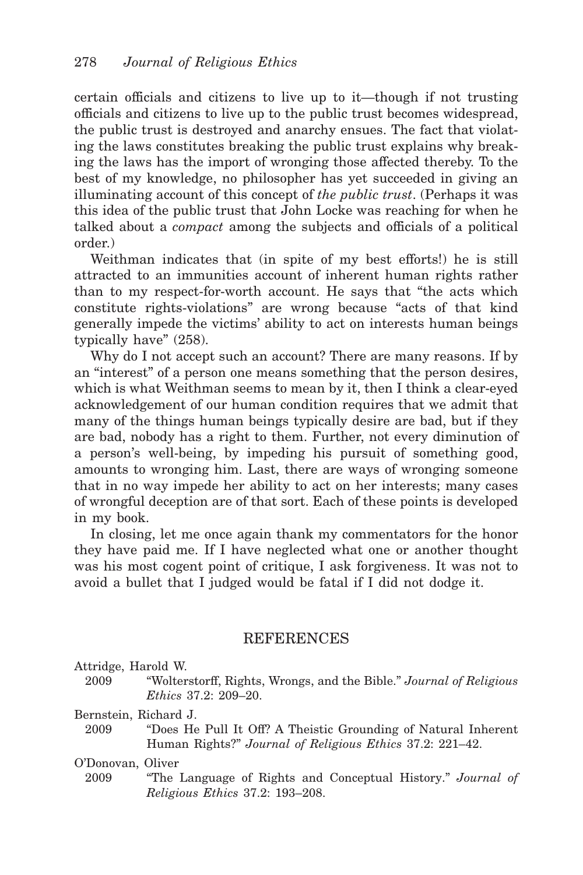certain officials and citizens to live up to it—though if not trusting officials and citizens to live up to the public trust becomes widespread, the public trust is destroyed and anarchy ensues. The fact that violating the laws constitutes breaking the public trust explains why breaking the laws has the import of wronging those affected thereby. To the best of my knowledge, no philosopher has yet succeeded in giving an illuminating account of this concept of *the public trust*. (Perhaps it was this idea of the public trust that John Locke was reaching for when he talked about a *compact* among the subjects and officials of a political order.)

Weithman indicates that (in spite of my best efforts!) he is still attracted to an immunities account of inherent human rights rather than to my respect-for-worth account. He says that "the acts which constitute rights-violations" are wrong because "acts of that kind generally impede the victims' ability to act on interests human beings typically have" (258).

Why do I not accept such an account? There are many reasons. If by an "interest" of a person one means something that the person desires, which is what Weithman seems to mean by it, then I think a clear-eyed acknowledgement of our human condition requires that we admit that many of the things human beings typically desire are bad, but if they are bad, nobody has a right to them. Further, not every diminution of a person's well-being, by impeding his pursuit of something good, amounts to wronging him. Last, there are ways of wronging someone that in no way impede her ability to act on her interests; many cases of wrongful deception are of that sort. Each of these points is developed in my book.

In closing, let me once again thank my commentators for the honor they have paid me. If I have neglected what one or another thought was his most cogent point of critique, I ask forgiveness. It was not to avoid a bullet that I judged would be fatal if I did not dodge it.

## REFERENCES

Attridge, Harold W.

2009 "Wolterstorff, Rights, Wrongs, and the Bible." *Journal of Religious Ethics* 37.2: 209–20.

Bernstein, Richard J.

2009 "Does He Pull It Off? A Theistic Grounding of Natural Inherent Human Rights?" *Journal of Religious Ethics* 37.2: 221–42.

O'Donovan, Oliver

2009 "The Language of Rights and Conceptual History." *Journal of Religious Ethics* 37.2: 193–208.